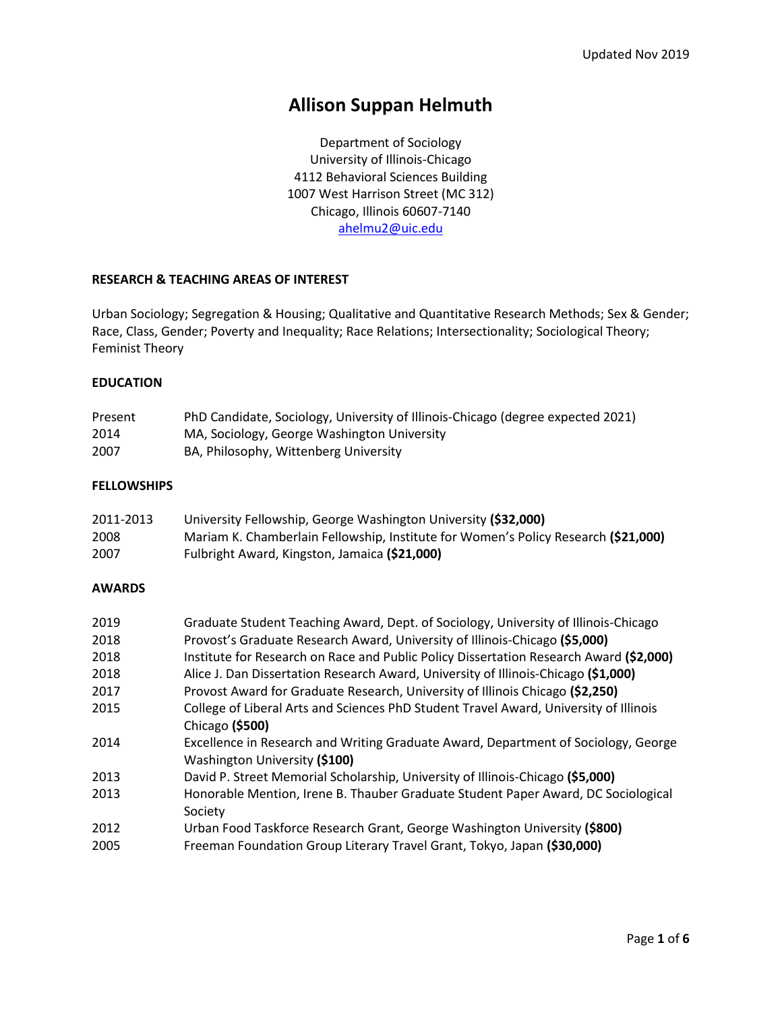# **Allison Suppan Helmuth**

Department of Sociology University of Illinois-Chicago 4112 Behavioral Sciences Building 1007 West Harrison Street (MC 312) Chicago, Illinois 60607-7140 [ahelmu2@uic.edu](mailto:ahelmu2@uic.edu)

### **RESEARCH & TEACHING AREAS OF INTEREST**

Urban Sociology; Segregation & Housing; Qualitative and Quantitative Research Methods; Sex & Gender; Race, Class, Gender; Poverty and Inequality; Race Relations; Intersectionality; Sociological Theory; Feminist Theory

#### **EDUCATION**

| Present | PhD Candidate, Sociology, University of Illinois-Chicago (degree expected 2021) |
|---------|---------------------------------------------------------------------------------|
| 2014    | MA, Sociology, George Washington University                                     |
| 2007    | BA, Philosophy, Wittenberg University                                           |

### **FELLOWSHIPS**

| 2011-2013 | University Fellowship, George Washington University (\$32,000)                     |
|-----------|------------------------------------------------------------------------------------|
| 2008      | Mariam K. Chamberlain Fellowship, Institute for Women's Policy Research (\$21,000) |
| 2007      | Fulbright Award, Kingston, Jamaica (\$21,000)                                      |

#### **AWARDS**

| 2019 | Graduate Student Teaching Award, Dept. of Sociology, University of Illinois-Chicago    |
|------|----------------------------------------------------------------------------------------|
| 2018 | Provost's Graduate Research Award, University of Illinois-Chicago (\$5,000)            |
| 2018 | Institute for Research on Race and Public Policy Dissertation Research Award (\$2,000) |
| 2018 | Alice J. Dan Dissertation Research Award, University of Illinois-Chicago (\$1,000)     |
| 2017 | Provost Award for Graduate Research, University of Illinois Chicago (\$2,250)          |
| 2015 | College of Liberal Arts and Sciences PhD Student Travel Award, University of Illinois  |
|      | Chicago (\$500)                                                                        |
| 2014 | Excellence in Research and Writing Graduate Award, Department of Sociology, George     |
|      | Washington University (\$100)                                                          |
| 2013 | David P. Street Memorial Scholarship, University of Illinois-Chicago (\$5,000)         |
| 2013 | Honorable Mention, Irene B. Thauber Graduate Student Paper Award, DC Sociological      |
|      | Society                                                                                |
| 2012 | Urban Food Taskforce Research Grant, George Washington University (\$800)              |
| 2005 | Freeman Foundation Group Literary Travel Grant, Tokyo, Japan (\$30,000)                |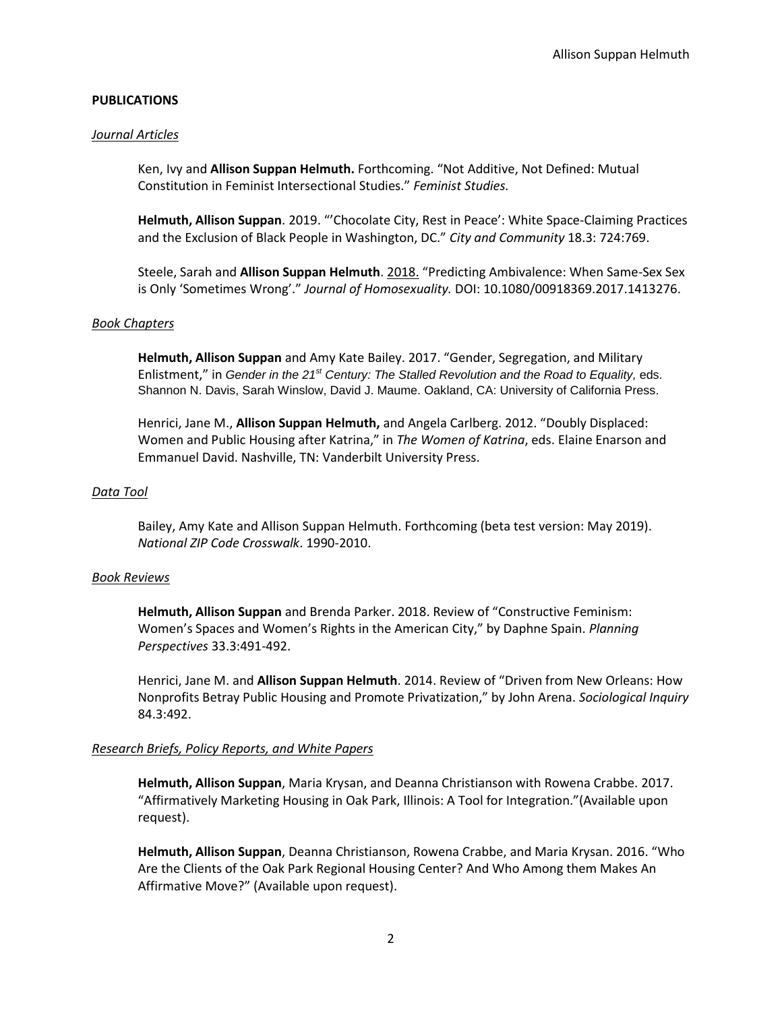## **PUBLICATIONS**

#### *Journal Articles*

Ken, Ivy and **Allison Suppan Helmuth.** Forthcoming. "Not Additive, Not Defined: Mutual Constitution in Feminist Intersectional Studies." *Feminist Studies.*

**Helmuth, Allison Suppan**. 2019. "'Chocolate City, Rest in Peace': White Space-Claiming Practices and the Exclusion of Black People in Washington, DC." *City and Community* 18.3: 724:769.

Steele, Sarah and **Allison Suppan Helmuth**. 2018. "Predicting Ambivalence: When Same-Sex Sex is Only 'Sometimes Wrong'." *Journal of Homosexuality.* DOI: 10.1080/00918369.2017.1413276.

#### *Book Chapters*

**Helmuth, Allison Suppan** and Amy Kate Bailey. 2017. "Gender, Segregation, and Military Enlistment," in *Gender in the 21st Century: The Stalled Revolution and the Road to Equality,* eds. Shannon N. Davis, Sarah Winslow, David J. Maume. Oakland, CA: University of California Press.

Henrici, Jane M., **Allison Suppan Helmuth,** and Angela Carlberg. 2012. "Doubly Displaced: Women and Public Housing after Katrina," in *The Women of Katrina*, eds. Elaine Enarson and Emmanuel David. Nashville, TN: Vanderbilt University Press.

#### *Data Tool*

Bailey, Amy Kate and Allison Suppan Helmuth. Forthcoming (beta test version: May 2019). *National ZIP Code Crosswalk*. 1990-2010.

#### *Book Reviews*

**Helmuth, Allison Suppan** and Brenda Parker. 2018. Review of "Constructive Feminism: Women's Spaces and Women's Rights in the American City," by Daphne Spain. *Planning Perspectives* 33.3:491-492.

Henrici, Jane M. and **Allison Suppan Helmuth**. 2014. Review of "Driven from New Orleans: How Nonprofits Betray Public Housing and Promote Privatization," by John Arena. *Sociological Inquiry* 84.3:492.

#### *Research Briefs, Policy Reports, and White Papers*

**Helmuth, Allison Suppan**, Maria Krysan, and Deanna Christianson with Rowena Crabbe. 2017. "Affirmatively Marketing Housing in Oak Park, Illinois: A Tool for Integration."(Available upon request).

**Helmuth, Allison Suppan**, Deanna Christianson, Rowena Crabbe, and Maria Krysan. 2016. "Who Are the Clients of the Oak Park Regional Housing Center? And Who Among them Makes An Affirmative Move?" (Available upon request).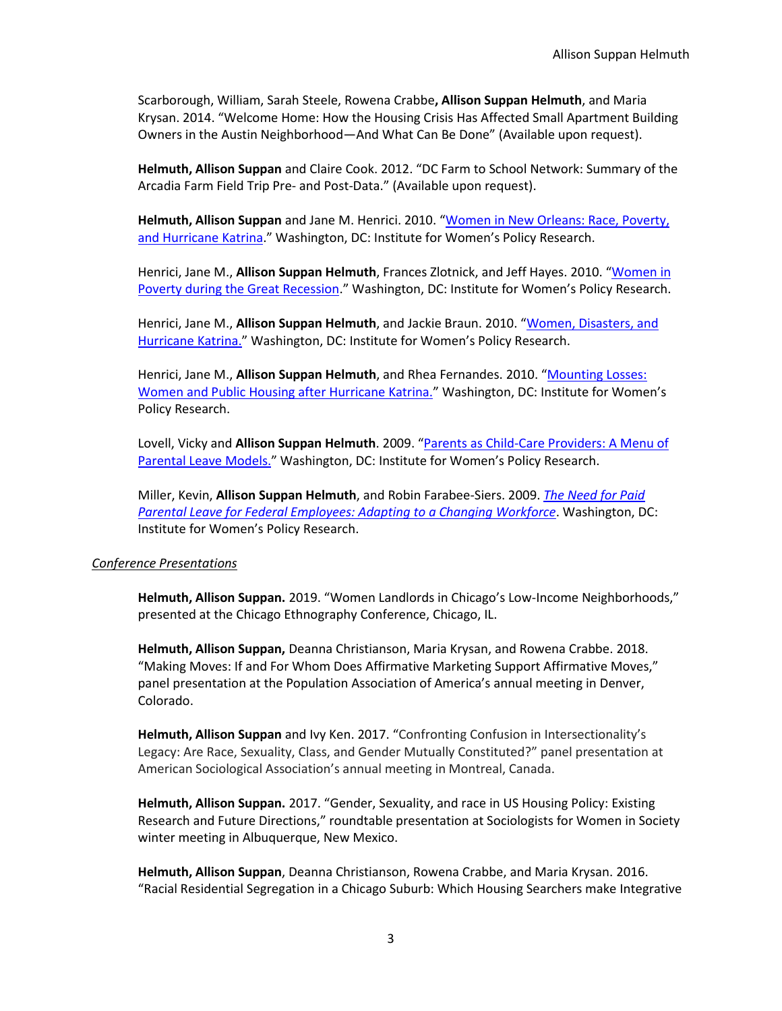Scarborough, William, Sarah Steele, Rowena Crabbe**, Allison Suppan Helmuth**, and Maria Krysan. 2014. "Welcome Home: How the Housing Crisis Has Affected Small Apartment Building Owners in the Austin Neighborhood—And What Can Be Done" (Available upon request).

**Helmuth, Allison Suppan** and Claire Cook. 2012. "DC Farm to School Network: Summary of the Arcadia Farm Field Trip Pre- and Post-Data." (Available upon request).

**Helmuth, Allison Suppan** and Jane M. Henrici. 2010. "[Women in New Orleans: Race, Poverty,](http://www.iwpr.org/publications/pubs/women-in-new-orleans-race-poverty-and-hurricane-katrina)  [and Hurricane Katrina](http://www.iwpr.org/publications/pubs/women-in-new-orleans-race-poverty-and-hurricane-katrina)." Washington, DC: Institute for Women's Policy Research.

Henrici, Jane M., **Allison Suppan Helmuth**, Frances Zlotnick, and Jeff Hayes. 2010. "[Women in](http://www.iwpr.org/publications/pubs/women-in-poverty-during-the-great-recession)  [Poverty during the Great Recession](http://www.iwpr.org/publications/pubs/women-in-poverty-during-the-great-recession)." Washington, DC: Institute for Women's Policy Research.

Henrici, Jane M., **Allison Suppan Helmuth**, and Jackie Braun. 2010. "[Women, Disasters, and](http://www.iwpr.org/publications/pubs/women-disasters-and-hurricane-katrina)  [Hurricane Katrina.](http://www.iwpr.org/publications/pubs/women-disasters-and-hurricane-katrina)" Washington, DC: Institute for Women's Policy Research.

Henrici, Jane M., Allison Suppan Helmuth, and Rhea Fernandes. 2010. "Mounting Losses: [Women and Public Housing after Hurricane Katrina.](http://www.iwpr.org/publications/pubs/mounting-losses-women-and-public-housing-after-hurricane-katrina)" Washington, DC: Institute for Women's Policy Research.

Lovell, Vicky and **Allison Suppan Helmuth**. 2009. "[Parents as Child-Care Providers: A Menu of](http://www.iwpr.org/publications/pubs/parents-as-child-care-providers-a-menu-of-parental-leave-models)  [Parental Leave Models.](http://www.iwpr.org/publications/pubs/parents-as-child-care-providers-a-menu-of-parental-leave-models)" Washington, DC: Institute for Women's Policy Research.

Miller, Kevin, **Allison Suppan Helmuth**, and Robin Farabee-Siers. 2009. *[The Need for Paid](https://iwpr.org/publications/the-need-for-paid-parental-leave-for-federal-employees-adapting-to-a-changing-workforce-report/)  [Parental Leave for Federal Employees: Adapting to a Changing Workforce](https://iwpr.org/publications/the-need-for-paid-parental-leave-for-federal-employees-adapting-to-a-changing-workforce-report/)*. Washington, DC: Institute for Women's Policy Research.

#### *Conference Presentations*

**Helmuth, Allison Suppan.** 2019. "Women Landlords in Chicago's Low-Income Neighborhoods," presented at the Chicago Ethnography Conference, Chicago, IL.

**Helmuth, Allison Suppan,** Deanna Christianson, Maria Krysan, and Rowena Crabbe. 2018. "Making Moves: If and For Whom Does Affirmative Marketing Support Affirmative Moves," panel presentation at the Population Association of America's annual meeting in Denver, Colorado.

**Helmuth, Allison Suppan** and Ivy Ken. 2017. "Confronting Confusion in Intersectionality's Legacy: Are Race, Sexuality, Class, and Gender Mutually Constituted?" panel presentation at American Sociological Association's annual meeting in Montreal, Canada.

**Helmuth, Allison Suppan.** 2017. "Gender, Sexuality, and race in US Housing Policy: Existing Research and Future Directions," roundtable presentation at Sociologists for Women in Society winter meeting in Albuquerque, New Mexico.

**Helmuth, Allison Suppan**, Deanna Christianson, Rowena Crabbe, and Maria Krysan. 2016. "Racial Residential Segregation in a Chicago Suburb: Which Housing Searchers make Integrative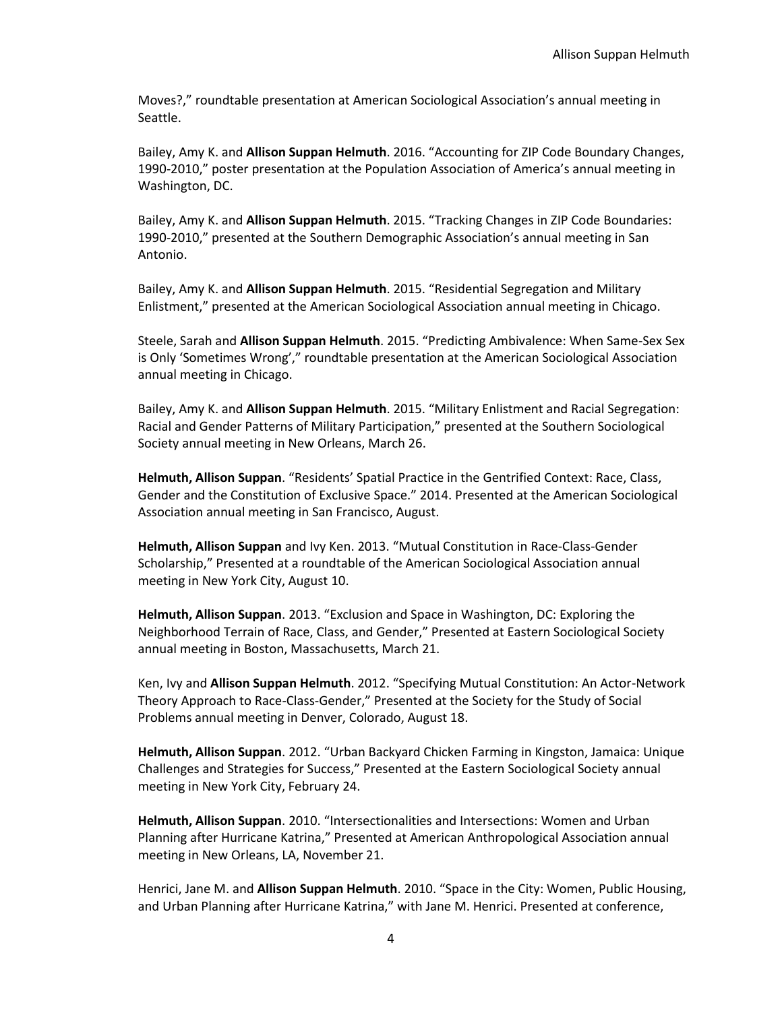Moves?," roundtable presentation at American Sociological Association's annual meeting in Seattle.

Bailey, Amy K. and **Allison Suppan Helmuth**. 2016. "Accounting for ZIP Code Boundary Changes, 1990-2010," poster presentation at the Population Association of America's annual meeting in Washington, DC.

Bailey, Amy K. and **Allison Suppan Helmuth**. 2015. "Tracking Changes in ZIP Code Boundaries: 1990-2010," presented at the Southern Demographic Association's annual meeting in San Antonio.

Bailey, Amy K. and **Allison Suppan Helmuth**. 2015. "Residential Segregation and Military Enlistment," presented at the American Sociological Association annual meeting in Chicago.

Steele, Sarah and **Allison Suppan Helmuth**. 2015. "Predicting Ambivalence: When Same-Sex Sex is Only 'Sometimes Wrong'," roundtable presentation at the American Sociological Association annual meeting in Chicago.

Bailey, Amy K. and **Allison Suppan Helmuth**. 2015. "Military Enlistment and Racial Segregation: Racial and Gender Patterns of Military Participation," presented at the Southern Sociological Society annual meeting in New Orleans, March 26.

**Helmuth, Allison Suppan**. "Residents' Spatial Practice in the Gentrified Context: Race, Class, Gender and the Constitution of Exclusive Space." 2014. Presented at the American Sociological Association annual meeting in San Francisco, August.

**Helmuth, Allison Suppan** and Ivy Ken. 2013. "Mutual Constitution in Race-Class-Gender Scholarship," Presented at a roundtable of the American Sociological Association annual meeting in New York City, August 10.

**Helmuth, Allison Suppan**. 2013. "Exclusion and Space in Washington, DC: Exploring the Neighborhood Terrain of Race, Class, and Gender," Presented at Eastern Sociological Society annual meeting in Boston, Massachusetts, March 21.

Ken, Ivy and **Allison Suppan Helmuth**. 2012. "Specifying Mutual Constitution: An Actor-Network Theory Approach to Race-Class-Gender," Presented at the Society for the Study of Social Problems annual meeting in Denver, Colorado, August 18.

**Helmuth, Allison Suppan**. 2012. "Urban Backyard Chicken Farming in Kingston, Jamaica: Unique Challenges and Strategies for Success," Presented at the Eastern Sociological Society annual meeting in New York City, February 24.

**Helmuth, Allison Suppan**. 2010. "Intersectionalities and Intersections: Women and Urban Planning after Hurricane Katrina," Presented at American Anthropological Association annual meeting in New Orleans, LA, November 21.

Henrici, Jane M. and **Allison Suppan Helmuth**. 2010. "Space in the City: Women, Public Housing, and Urban Planning after Hurricane Katrina," with Jane M. Henrici. Presented at conference,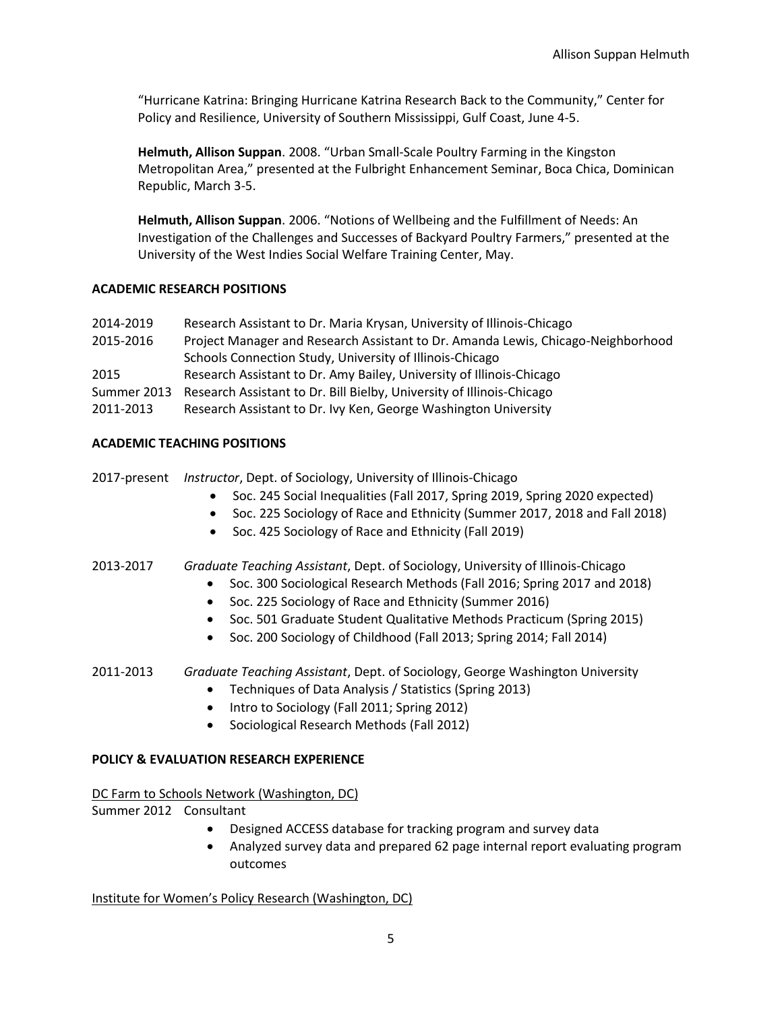"Hurricane Katrina: Bringing Hurricane Katrina Research Back to the Community," Center for Policy and Resilience, University of Southern Mississippi, Gulf Coast, June 4-5.

**Helmuth, Allison Suppan**. 2008. "Urban Small-Scale Poultry Farming in the Kingston Metropolitan Area," presented at the Fulbright Enhancement Seminar, Boca Chica, Dominican Republic, March 3-5.

**Helmuth, Allison Suppan**. 2006. "Notions of Wellbeing and the Fulfillment of Needs: An Investigation of the Challenges and Successes of Backyard Poultry Farmers," presented at the University of the West Indies Social Welfare Training Center, May.

## **ACADEMIC RESEARCH POSITIONS**

| 2014-2019 | Research Assistant to Dr. Maria Krysan, University of Illinois-Chicago            |
|-----------|-----------------------------------------------------------------------------------|
| 2015-2016 | Project Manager and Research Assistant to Dr. Amanda Lewis, Chicago-Neighborhood  |
|           | Schools Connection Study, University of Illinois-Chicago                          |
| 2015      | Research Assistant to Dr. Amy Bailey, University of Illinois-Chicago              |
|           | Summer 2013 Research Assistant to Dr. Bill Bielby, University of Illinois-Chicago |
| 2011-2013 | Research Assistant to Dr. Ivy Ken, George Washington University                   |

## **ACADEMIC TEACHING POSITIONS**

|  |  | 2017-present Instructor, Dept. of Sociology, University of Illinois-Chicago |  |  |
|--|--|-----------------------------------------------------------------------------|--|--|
|--|--|-----------------------------------------------------------------------------|--|--|

- Soc. 245 Social Inequalities (Fall 2017, Spring 2019, Spring 2020 expected)
- Soc. 225 Sociology of Race and Ethnicity (Summer 2017, 2018 and Fall 2018)
- Soc. 425 Sociology of Race and Ethnicity (Fall 2019)

2013-2017 *Graduate Teaching Assistant*, Dept. of Sociology, University of Illinois-Chicago

- Soc. 300 Sociological Research Methods (Fall 2016; Spring 2017 and 2018)
- Soc. 225 Sociology of Race and Ethnicity (Summer 2016)
- Soc. 501 Graduate Student Qualitative Methods Practicum (Spring 2015)
- Soc. 200 Sociology of Childhood (Fall 2013; Spring 2014; Fall 2014)

# 2011-2013 *Graduate Teaching Assistant*, Dept. of Sociology, George Washington University

- Techniques of Data Analysis / Statistics (Spring 2013)
	- Intro to Sociology (Fall 2011; Spring 2012)
	- Sociological Research Methods (Fall 2012)

## **POLICY & EVALUATION RESEARCH EXPERIENCE**

DC Farm to Schools Network (Washington, DC) Summer 2012 Consultant

- Designed ACCESS database for tracking program and survey data
- Analyzed survey data and prepared 62 page internal report evaluating program outcomes

Institute for Women's Policy Research (Washington, DC)